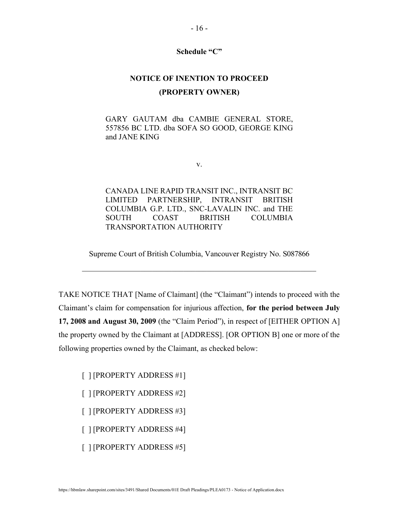## Schedule "C"

## NOTICE OF INENTION TO PROCEED (PROPERTY OWNER)

GARY GAUTAM dba CAMBIE GENERAL STORE, 557856 BC LTD. dba SOFA SO GOOD, GEORGE KING and JANE KING

v.

CANADA LINE RAPID TRANSIT INC., INTRANSIT BC LIMITED PARTNERSHIP, INTRANSIT BRITISH COLUMBIA G.P. LTD., SNC-LAVALIN INC. and THE SOUTH COAST BRITISH COLUMBIA TRANSPORTATION AUTHORITY

Supreme Court of British Columbia, Vancouver Registry No. S087866

 $\mathcal{L}_\text{max}$  and  $\mathcal{L}_\text{max}$  and  $\mathcal{L}_\text{max}$  and  $\mathcal{L}_\text{max}$  and  $\mathcal{L}_\text{max}$ 

TAKE NOTICE THAT [Name of Claimant] (the "Claimant") intends to proceed with the Claimant's claim for compensation for injurious affection, for the period between July 17, 2008 and August 30, 2009 (the "Claim Period"), in respect of [EITHER OPTION A] the property owned by the Claimant at [ADDRESS]. [OR OPTION B] one or more of the following properties owned by the Claimant, as checked below:

[ ] [PROPERTY ADDRESS #1]

[ ] [PROPERTY ADDRESS #2]

[ ] [PROPERTY ADDRESS #3]

[ ] [PROPERTY ADDRESS #4]

[ ] [PROPERTY ADDRESS #5]